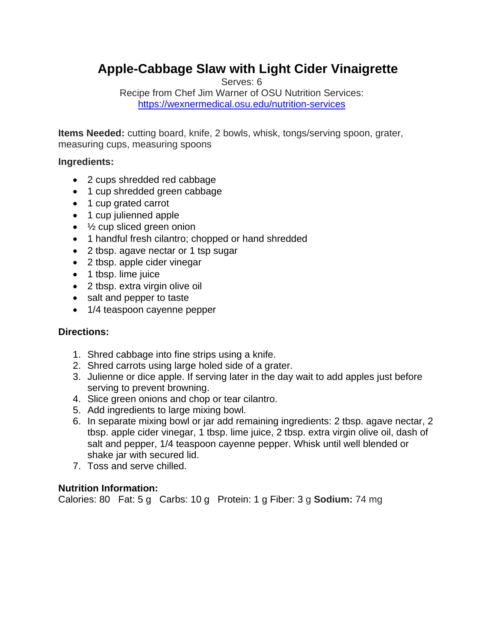# **Apple-Cabbage Slaw with Light Cider Vinaigrette**

Serves: 6

Recipe from Chef Jim Warner of OSU Nutrition Services: <https://wexnermedical.osu.edu/nutrition-services>

**Items Needed:** cutting board, knife, 2 bowls, whisk, tongs/serving spoon, grater, measuring cups, measuring spoons

### **Ingredients:**

- 2 cups shredded red cabbage
- 1 cup shredded green cabbage
- 1 cup grated carrot
- 1 cup julienned apple
- $\cdot$   $\frac{1}{2}$  cup sliced green onion
- 1 handful fresh cilantro; chopped or hand shredded
- 2 tbsp. agave nectar or 1 tsp sugar
- 2 tbsp. apple cider vinegar
- 1 tbsp. lime juice
- 2 tbsp. extra virgin olive oil
- salt and pepper to taste
- 1/4 teaspoon cayenne pepper

## **Directions:**

- 1. Shred cabbage into fine strips using a knife.
- 2. Shred carrots using large holed side of a grater.
- 3. Julienne or dice apple. If serving later in the day wait to add apples just before serving to prevent browning.
- 4. Slice green onions and chop or tear cilantro.
- 5. Add ingredients to large mixing bowl.
- 6. In separate mixing bowl or jar add remaining ingredients: 2 tbsp. agave nectar, 2 tbsp. apple cider vinegar, 1 tbsp. lime juice, 2 tbsp. extra virgin olive oil, dash of salt and pepper, 1/4 teaspoon cayenne pepper. Whisk until well blended or shake jar with secured lid.
- 7. Toss and serve chilled.

## **Nutrition Information:**

Calories: 80 Fat: 5 g Carbs: 10 g Protein: 1 g Fiber: 3 g **Sodium:** 74 mg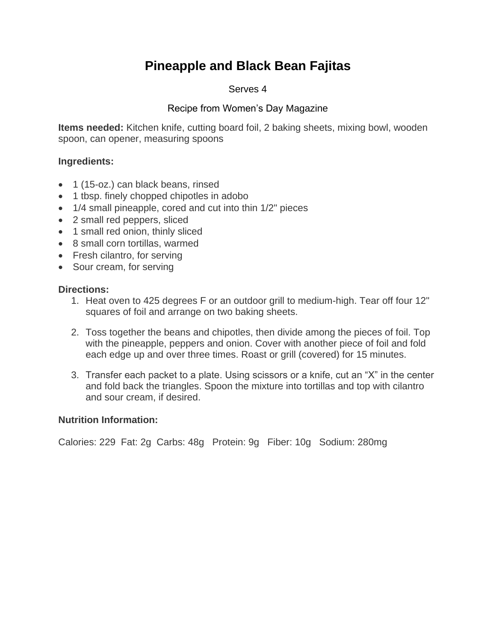# **Pineapple and Black Bean Fajitas**

#### Serves 4

## Recipe from Women's Day Magazine

**Items needed:** Kitchen knife, cutting board foil, 2 baking sheets, mixing bowl, wooden spoon, can opener, measuring spoons

### **Ingredients:**

- 1 (15-oz.) can black beans, rinsed
- 1 tbsp. finely chopped chipotles in adobo
- 1/4 small pineapple, cored and cut into thin 1/2" pieces
- 2 small red peppers, sliced
- 1 small red onion, thinly sliced
- 8 small corn tortillas, warmed
- Fresh cilantro, for serving
- Sour cream, for serving

### **Directions:**

- 1. Heat oven to 425 degrees F or an outdoor grill to medium-high. Tear off four 12" squares of foil and arrange on two baking sheets.
- 2. Toss together the beans and chipotles, then divide among the pieces of foil. Top with the pineapple, peppers and onion. Cover with another piece of foil and fold each edge up and over three times. Roast or grill (covered) for 15 minutes.
- 3. Transfer each packet to a plate. Using scissors or a knife, cut an "X" in the center and fold back the triangles. Spoon the mixture into tortillas and top with cilantro and sour cream, if desired.

## **Nutrition Information:**

Calories: 229 Fat: 2g Carbs: 48g Protein: 9g Fiber: 10g Sodium: 280mg